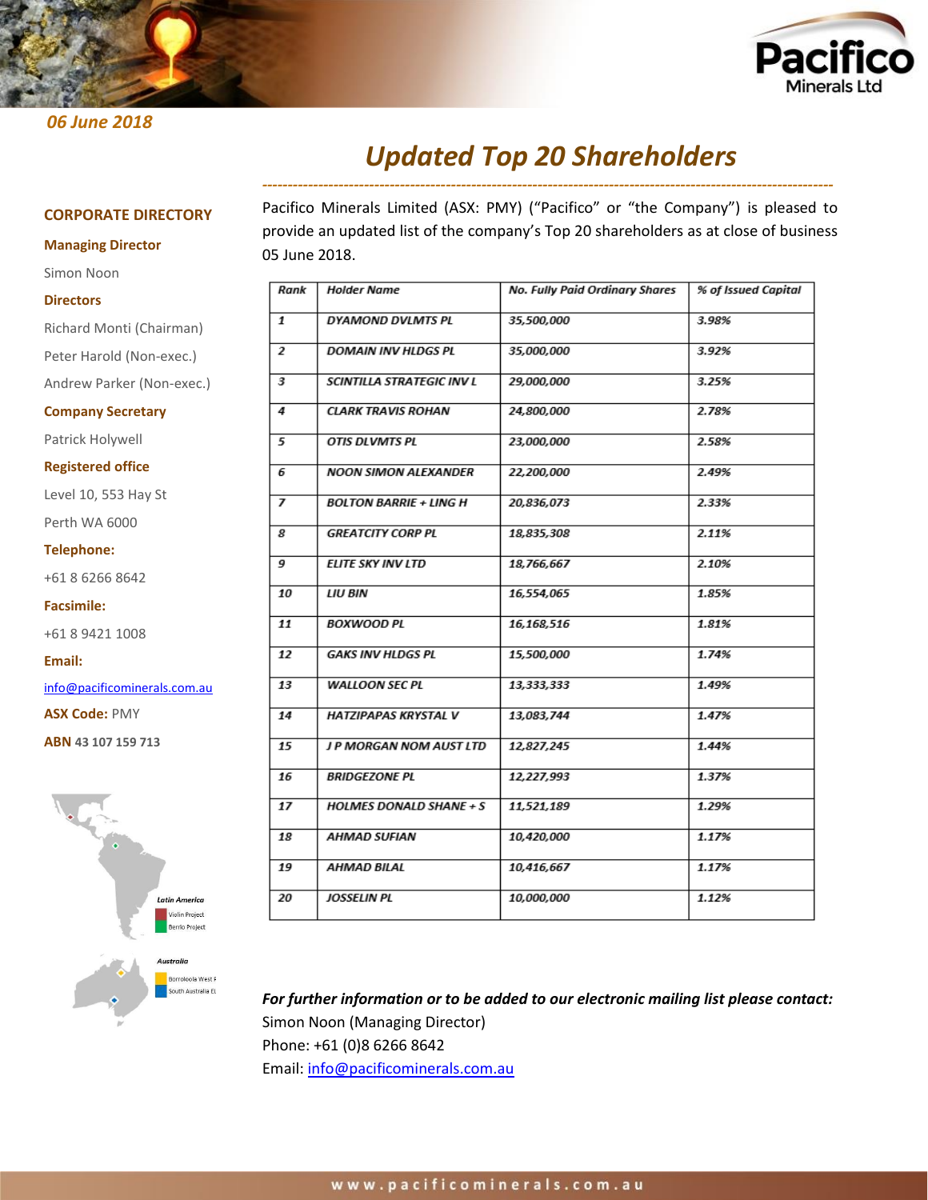

# *06 June 2018*

# *Updated Top 20 Shareholders ----------------------------------------------------------------------------------------------------------------*

### **CORPORATE DIRECTORY**

#### **Managing Director**

Simon Noon

#### **Directors**

Richard Monti (Chairman) Peter Harold (Non-exec.) Andrew Parker (Non-exec.) **Company Secretary**

Patrick Holywell

**Registered office**

Level 10, 553 Hay St

Perth WA 6000

**Telephone:**

+61 8 6266 8642

**Facsimile:**

+61 8 9421 1008

**Email:**

[info@pacificominerals.com.au](mailto:info@pacificominerals.com.au)

**ASX Code:** PMY

**ABN 43 107 159 713**



Pacifico Minerals Limited (ASX: PMY) ("Pacifico" or "the Company") is pleased to provide an updated list of the company's Top 20 shareholders as at close of business 05 June 2018.

| Rank | Holder Name                    | No. Fully Paid Ordinary Shares | % of Issued Capital |
|------|--------------------------------|--------------------------------|---------------------|
| 1    | DYAMOND DVLMTS PL              | 35,500,000                     | 3.98%               |
| 2    | <b>DOMAIN INV HLDGS PL</b>     | 35,000,000                     | 3.92%               |
| 3    | SCINTILLA STRATEGIC INV L      | 29,000,000                     | 3.25%               |
| 4    | <b>CLARK TRAVIS ROHAN</b>      | 24,800,000                     | 2.78%               |
| 5    | OTIS DLVMTS PL                 | 23,000,000                     | 2.58%               |
| 6    | NOON SIMON ALEXANDER           | 22,200,000                     | 2.49%               |
| 7    | <b>BOLTON BARRIE + LING H</b>  | 20,836,073                     | 2.33%               |
| 8    | <b>GREATCITY CORP PL</b>       | 18,835,308                     | 2.11%               |
| 9    | <b>ELITE SKY INV LTD</b>       | 18,766,667                     | 2.10%               |
| 10   | LIU BIN                        | 16,554,065                     | 1.85%               |
| 11   | <b>BOXWOOD PL</b>              | 16,168,516                     | 1.81%               |
| 12   | <b>GAKS INV HLDGS PL</b>       | 15,500,000                     | 1.74%               |
| 13   | <b>WALLOON SEC PL</b>          | 13,333,333                     | 1.49%               |
| 14   | HATZIPAPAS KRYSTAL V           | 13,083,744                     | 1.47%               |
| 15   | J P MORGAN NOM AUST LTD        | 12,827,245                     | 1.44%               |
| 16   | <b>BRIDGEZONE PL</b>           | 12,227,993                     | 1.37%               |
| 17   | <b>HOLMES DONALD SHANE + S</b> | 11,521,189                     | 1.29%               |
| 18   | AHMAD SUFIAN                   | 10,420,000                     | 1.17%               |
| 19   | AHMAD BILAL                    | 10,416,667                     | 1.17%               |
| 20   | JOSSELIN PL                    | 10,000,000                     | 1.12%               |

*For further information or to be added to our electronic mailing list please contact:*  Simon Noon (Managing Director) Phone: +61 (0)8 6266 8642

Email: [info@pacificominerals.com.au](mailto:info@pacificominerals.com.au)